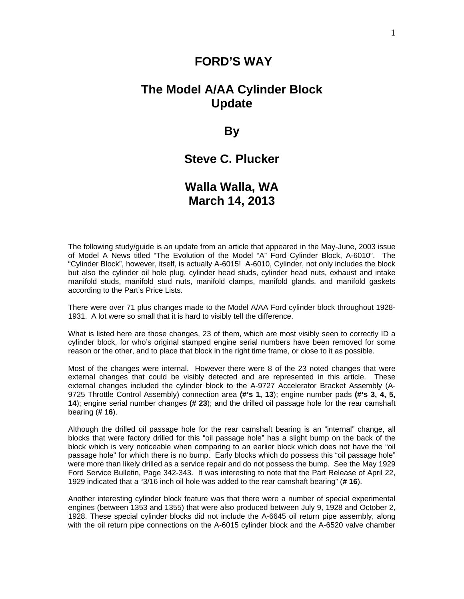#### **FORD'S WAY**

## **The Model A/AA Cylinder Block Update**

**By** 

### **Steve C. Plucker**

## **Walla Walla, WA March 14, 2013**

The following study/guide is an update from an article that appeared in the May-June, 2003 issue of Model A News titled "The Evolution of the Model "A" Ford Cylinder Block, A-6010". The "Cylinder Block", however, itself, is actually A-6015! A-6010, Cylinder, not only includes the block but also the cylinder oil hole plug, cylinder head studs, cylinder head nuts, exhaust and intake manifold studs, manifold stud nuts, manifold clamps, manifold glands, and manifold gaskets according to the Part's Price Lists.

There were over 71 plus changes made to the Model A/AA Ford cylinder block throughout 1928- 1931. A lot were so small that it is hard to visibly tell the difference.

What is listed here are those changes, 23 of them, which are most visibly seen to correctly ID a cylinder block, for who's original stamped engine serial numbers have been removed for some reason or the other, and to place that block in the right time frame, or close to it as possible.

Most of the changes were internal. However there were 8 of the 23 noted changes that were external changes that could be visibly detected and are represented in this article. These external changes included the cylinder block to the A-9727 Accelerator Bracket Assembly (A-9725 Throttle Control Assembly) connection area **(#'s 1, 13**); engine number pads **(#'s 3, 4, 5, 14**); engine serial number changes **(# 23**); and the drilled oil passage hole for the rear camshaft bearing (**# 16**).

Although the drilled oil passage hole for the rear camshaft bearing is an "internal" change, all blocks that were factory drilled for this "oil passage hole" has a slight bump on the back of the block which is very noticeable when comparing to an earlier block which does not have the "oil passage hole" for which there is no bump. Early blocks which do possess this "oil passage hole" were more than likely drilled as a service repair and do not possess the bump. See the May 1929 Ford Service Bulletin, Page 342-343. It was interesting to note that the Part Release of April 22, 1929 indicated that a "3/16 inch oil hole was added to the rear camshaft bearing" (**# 16**).

Another interesting cylinder block feature was that there were a number of special experimental engines (between 1353 and 1355) that were also produced between July 9, 1928 and October 2, 1928. These special cylinder blocks did not include the A-6645 oil return pipe assembly, along with the oil return pipe connections on the A-6015 cylinder block and the A-6520 valve chamber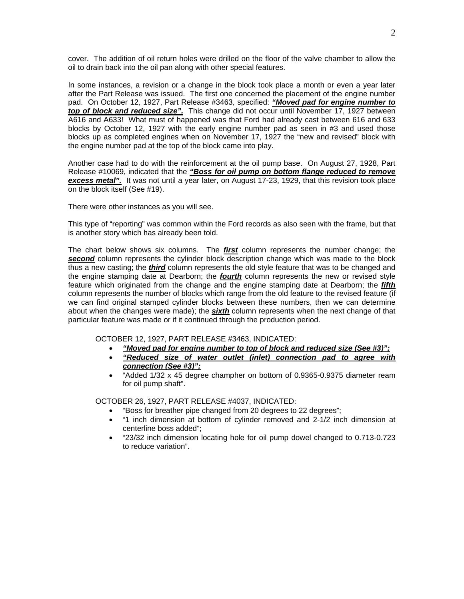cover. The addition of oil return holes were drilled on the floor of the valve chamber to allow the oil to drain back into the oil pan along with other special features.

In some instances, a revision or a change in the block took place a month or even a year later after the Part Release was issued. The first one concerned the placement of the engine number pad. On October 12, 1927, Part Release #3463, specified: *"Moved pad for engine number to top of block and reduced size".* This change did not occur until November 17, 1927 between A616 and A633! What must of happened was that Ford had already cast between 616 and 633 blocks by October 12, 1927 with the early engine number pad as seen in #3 and used those blocks up as completed engines when on November 17, 1927 the "new and revised" block with the engine number pad at the top of the block came into play.

Another case had to do with the reinforcement at the oil pump base. On August 27, 1928, Part Release #10069, indicated that the *"Boss for oil pump on bottom flange reduced to remove*  **excess metal".** It was not until a year later, on August 17-23, 1929, that this revision took place on the block itself (See #19).

There were other instances as you will see.

This type of "reporting" was common within the Ford records as also seen with the frame, but that is another story which has already been told.

The chart below shows six columns. The *first* column represents the number change; the **second** column represents the cylinder block description change which was made to the block thus a new casting; the *third* column represents the old style feature that was to be changed and the engine stamping date at Dearborn; the *fourth* column represents the new or revised style feature which originated from the change and the engine stamping date at Dearborn; the *fifth* column represents the number of blocks which range from the old feature to the revised feature (if we can find original stamped cylinder blocks between these numbers, then we can determine about when the changes were made); the *sixth* column represents when the next change of that particular feature was made or if it continued through the production period.

OCTOBER 12, 1927, PART RELEASE #3463, INDICATED:

- *"Moved pad for engine number to top of block and reduced size (See #3)";*
- *"Reduced size of water outlet (inlet) connection pad to agree with connection (See #3)";*
- "Added 1/32 x 45 degree champher on bottom of 0.9365-0.9375 diameter ream for oil pump shaft".

OCTOBER 26, 1927, PART RELEASE #4037, INDICATED:

- "Boss for breather pipe changed from 20 degrees to 22 degrees";
- "1 inch dimension at bottom of cylinder removed and 2-1/2 inch dimension at centerline boss added";
- "23/32 inch dimension locating hole for oil pump dowel changed to 0.713-0.723 to reduce variation".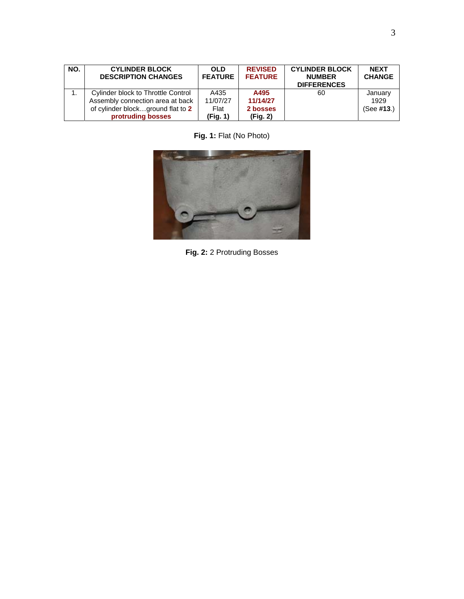| NO. | <b>CYLINDER BLOCK</b><br><b>DESCRIPTION CHANGES</b> | <b>OLD</b><br><b>FEATURE</b> | <b>REVISED</b><br><b>FEATURE</b> | <b>CYLINDER BLOCK</b><br><b>NUMBER</b><br><b>DIFFERENCES</b> | <b>NEXT</b><br><b>CHANGE</b> |
|-----|-----------------------------------------------------|------------------------------|----------------------------------|--------------------------------------------------------------|------------------------------|
|     | Cylinder block to Throttle Control                  | A435                         | A495                             | 60                                                           | January                      |
|     | Assembly connection area at back                    | 11/07/27                     | 11/14/27                         |                                                              | 1929                         |
|     | of cylinder blockground flat to 2                   | Flat                         | 2 bosses                         |                                                              | (See #13.)                   |
|     | protruding bosses                                   | (Fig. 1)                     | (Fig. 2)                         |                                                              |                              |

**Fig. 1:** Flat (No Photo)



**Fig. 2:** 2 Protruding Bosses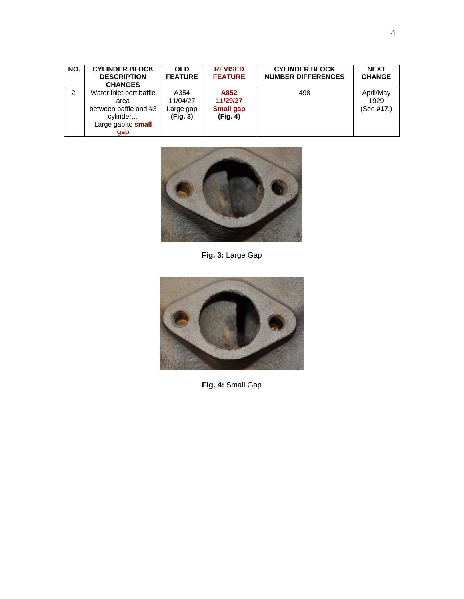| NO. | <b>CYLINDER BLOCK</b><br><b>DESCRIPTION</b><br><b>CHANGES</b>                                     | <b>OLD</b><br><b>FEATURE</b>              | <b>REVISED</b><br><b>FEATURE</b>                 | <b>CYLINDER BLOCK</b><br><b>NUMBER DIFFERENCES</b> | <b>NEXT</b><br><b>CHANGE</b>    |
|-----|---------------------------------------------------------------------------------------------------|-------------------------------------------|--------------------------------------------------|----------------------------------------------------|---------------------------------|
| 2.  | Water inlet port baffle<br>area<br>between baffle and #3<br>cylinder<br>Large gap to small<br>gap | A354<br>11/04/27<br>Large gap<br>(Fig. 3) | A852<br>11/29/27<br><b>Small gap</b><br>(Fig. 4) | 498                                                | April/May<br>1929<br>(See #17.) |



**Fig. 3:** Large Gap



**Fig. 4:** Small Gap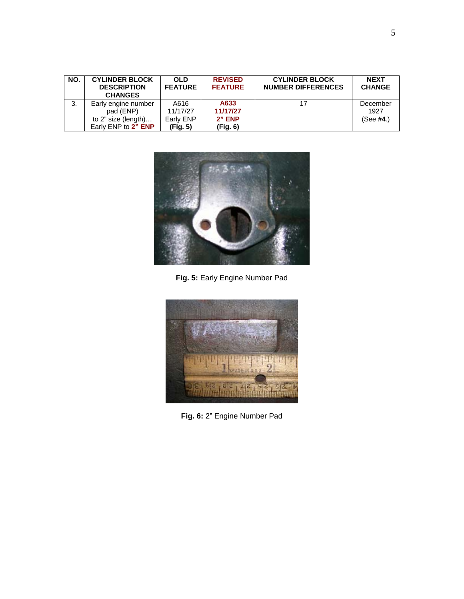| NO. | <b>CYLINDER BLOCK</b><br><b>DESCRIPTION</b><br><b>CHANGES</b> | <b>OLD</b><br><b>FEATURE</b> | <b>REVISED</b><br><b>FEATURE</b> | <b>CYLINDER BLOCK</b><br><b>NUMBER DIFFERENCES</b> | <b>NEXT</b><br><b>CHANGE</b> |
|-----|---------------------------------------------------------------|------------------------------|----------------------------------|----------------------------------------------------|------------------------------|
| 3.  | Early engine number                                           | A616                         | A633                             | 17                                                 | December                     |
|     | pad (ENP)                                                     | 11/17/27                     | 11/17/27                         |                                                    | 1927                         |
|     | to $2$ " size (length)                                        | Early ENP                    | $2"$ ENP                         |                                                    | (See #4.)                    |
|     | Early ENP to 2" ENP                                           | (Fig. 5)                     | (Fig. 6)                         |                                                    |                              |



**Fig. 5:** Early Engine Number Pad



**Fig. 6:** 2" Engine Number Pad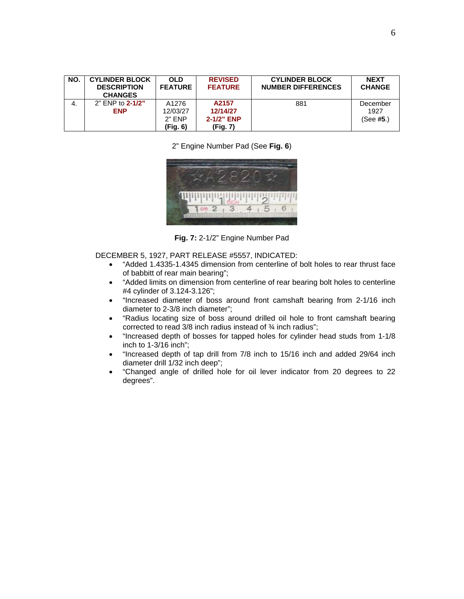| NO. | <b>CYLINDER BLOCK</b><br><b>DESCRIPTION</b><br><b>CHANGES</b> | <b>OLD</b><br><b>FEATURE</b> | <b>REVISED</b><br><b>FEATURE</b> | <b>CYLINDER BLOCK</b><br><b>NUMBER DIFFERENCES</b> | <b>NEXT</b><br><b>CHANGE</b> |
|-----|---------------------------------------------------------------|------------------------------|----------------------------------|----------------------------------------------------|------------------------------|
| 4.  | 2" ENP to 2-1/2"                                              | A1276                        | A2157                            | 881                                                | December                     |
|     | <b>ENP</b>                                                    | 12/03/27                     | 12/14/27                         |                                                    | 1927                         |
|     |                                                               | $2"$ ENP                     | $2 - 1/2$ " ENP                  |                                                    | (See #5.)                    |
|     |                                                               | (Fig. 6)                     | (Fig. 7)                         |                                                    |                              |

2" Engine Number Pad (See **Fig. 6**)



**Fig. 7:** 2-1/2" Engine Number Pad

DECEMBER 5, 1927, PART RELEASE #5557, INDICATED:

- "Added 1.4335-1.4345 dimension from centerline of bolt holes to rear thrust face of babbitt of rear main bearing";
- "Added limits on dimension from centerline of rear bearing bolt holes to centerline #4 cylinder of 3.124-3.126";
- "Increased diameter of boss around front camshaft bearing from 2-1/16 inch diameter to 2-3/8 inch diameter";
- "Radius locating size of boss around drilled oil hole to front camshaft bearing corrected to read 3/8 inch radius instead of ¾ inch radius";
- "Increased depth of bosses for tapped holes for cylinder head studs from 1-1/8 inch to 1-3/16 inch";
- "Increased depth of tap drill from 7/8 inch to 15/16 inch and added 29/64 inch diameter drill 1/32 inch deep";
- "Changed angle of drilled hole for oil lever indicator from 20 degrees to 22 degrees".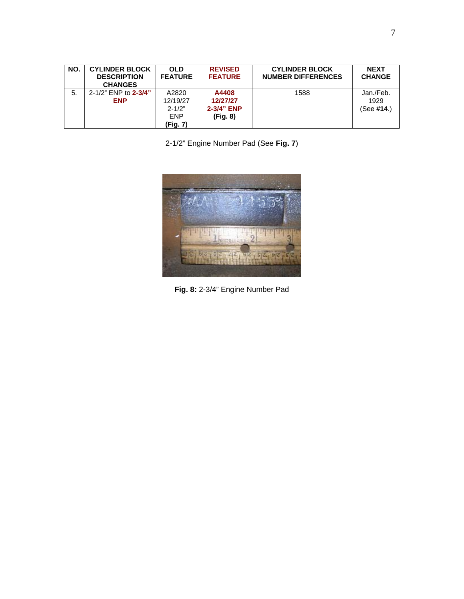| NO. | <b>CYLINDER BLOCK</b><br><b>DESCRIPTION</b><br><b>CHANGES</b> | <b>OLD</b><br><b>FEATURE</b>                              | <b>REVISED</b><br><b>FEATURE</b>            | <b>CYLINDER BLOCK</b><br><b>NUMBER DIFFERENCES</b> | <b>NEXT</b><br><b>CHANGE</b>       |
|-----|---------------------------------------------------------------|-----------------------------------------------------------|---------------------------------------------|----------------------------------------------------|------------------------------------|
| -5. | 2-1/2" ENP to 2-3/4"<br><b>ENP</b>                            | A2820<br>12/19/27<br>$2 - 1/2"$<br><b>ENP</b><br>(Fig. 7) | A4408<br>12/27/27<br>2-3/4" ENP<br>(Fiq. 8) | 1588                                               | Jan./Feb.<br>1929<br>(See $#14.$ ) |

2-1/2" Engine Number Pad (See **Fig. 7**)



**Fig. 8:** 2-3/4" Engine Number Pad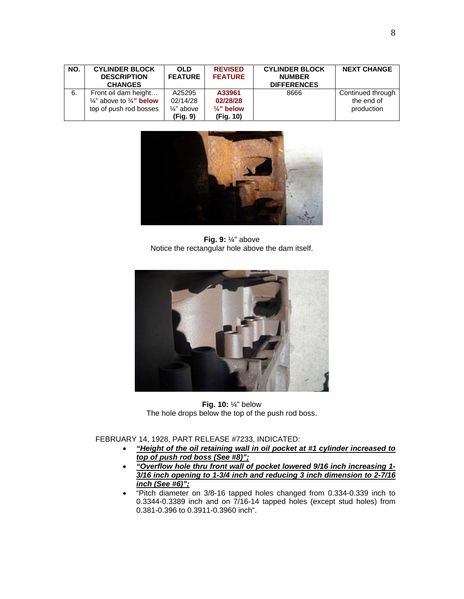| NO. | <b>CYLINDER BLOCK</b><br><b>DESCRIPTION</b><br><b>CHANGES</b>                                    | <b>OLD</b><br><b>FEATURE</b>                            | <b>REVISED</b><br><b>FEATURE</b>                         | <b>CYLINDER BLOCK</b><br><b>NUMBER</b><br><b>DIFFERENCES</b> | <b>NEXT CHANGE</b>                            |
|-----|--------------------------------------------------------------------------------------------------|---------------------------------------------------------|----------------------------------------------------------|--------------------------------------------------------------|-----------------------------------------------|
| 6.  | Front oil dam height<br>$\frac{1}{4}$ " above to $\frac{1}{4}$ " below<br>top of push rod bosses | A25295<br>02/14/28<br>$\frac{1}{4}$ " above<br>(Fig. 9) | A33961<br>02/28/28<br>$\frac{1}{4}$ " below<br>(Fig. 10) | 8666                                                         | Continued through<br>the end of<br>production |



**Fig. 9:** ¼" above Notice the rectangular hole above the dam itself.



**Fig. 10:** ¼" below The hole drops below the top of the push rod boss.

FEBRUARY 14, 1928, PART RELEASE #7233, INDICATED:

- *"Height of the oil retaining wall in oil pocket at #1 cylinder increased to top of push rod boss (See #8)";*
- *"Overflow hole thru front wall of pocket lowered 9/16 inch increasing 1- 3/16 inch opening to 1-3/4 inch and reducing 3 inch dimension to 2-7/16 inch (See #6)";*
- "Pitch diameter on 3/8-16 tapped holes changed from 0.334-0.339 inch to  $0.3344 - 0.3389$  inch and on  $7/16 - 14$  tapped holes (except stud holes) from 0.381-0.396 to 0.3911-0.3960 inch".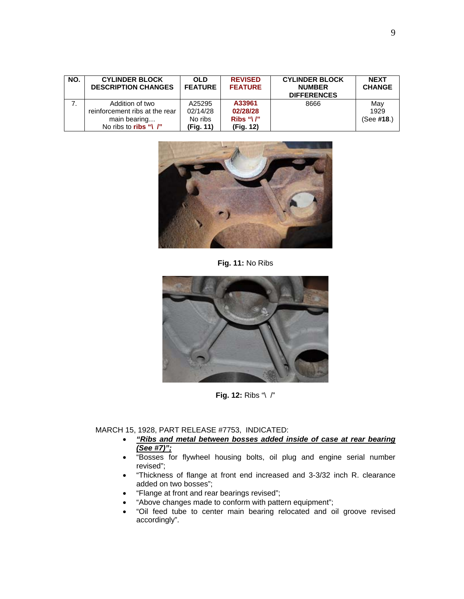| NO. | <b>CYLINDER BLOCK</b><br><b>DESCRIPTION CHANGES</b> | <b>OLD</b><br><b>FEATURE</b> | <b>REVISED</b><br><b>FEATURE</b> | <b>CYLINDER BLOCK</b><br><b>NUMBER</b><br><b>DIFFERENCES</b> | <b>NEXT</b><br><b>CHANGE</b> |
|-----|-----------------------------------------------------|------------------------------|----------------------------------|--------------------------------------------------------------|------------------------------|
|     | Addition of two                                     | A25295                       | A33961                           | 8666                                                         | May                          |
|     | reinforcement ribs at the rear                      | 02/14/28                     | 02/28/28                         |                                                              | 1929                         |
|     | main bearing                                        | No ribs                      | Ribs " $\binom{n}{r}$            |                                                              | (See #18.)                   |
|     | No ribs to ribs "\ $\Gamma$ "                       | (Fig. 11)                    | (Fig. 12)                        |                                                              |                              |



**Fig. 11:** No Ribs



**Fig. 12:** Ribs "\ /"

MARCH 15, 1928, PART RELEASE #7753, INDICATED:

- *"Ribs and metal between bosses added inside of case at rear bearing (See #7)";*
- "Bosses for flywheel housing bolts, oil plug and engine serial number revised";
- "Thickness of flange at front end increased and 3-3/32 inch R. clearance added on two bosses";
- "Flange at front and rear bearings revised";
- "Above changes made to conform with pattern equipment";
- "Oil feed tube to center main bearing relocated and oil groove revised accordingly".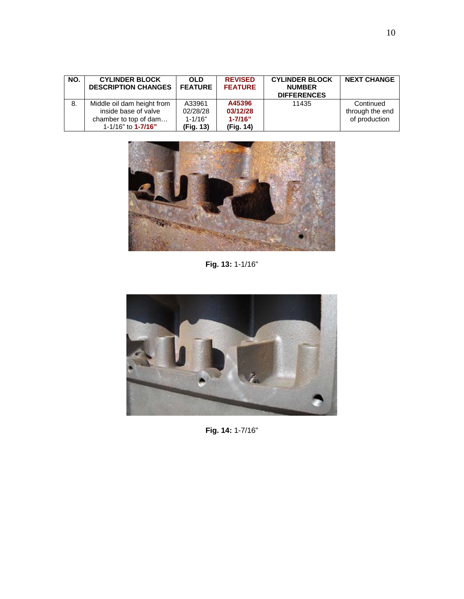| NO. | <b>CYLINDER BLOCK</b><br><b>DESCRIPTION CHANGES</b>                                                      | <b>OLD</b><br><b>FEATURE</b>                   | <b>REVISED</b><br><b>FEATURE</b>               | <b>CYLINDER BLOCK</b><br><b>NUMBER</b><br><b>DIFFERENCES</b> | <b>NEXT CHANGE</b>                            |
|-----|----------------------------------------------------------------------------------------------------------|------------------------------------------------|------------------------------------------------|--------------------------------------------------------------|-----------------------------------------------|
| 8.  | Middle oil dam height from<br>inside base of valve<br>chamber to top of dam<br>1-1/16" to <b>1-7/16"</b> | A33961<br>02/28/28<br>$1 - 1/16"$<br>(Fig. 13) | A45396<br>03/12/28<br>$1 - 7/16"$<br>(Fig. 14) | 11435                                                        | Continued<br>through the end<br>of production |



**Fig. 13:** 1-1/16"



**Fig. 14:** 1-7/16"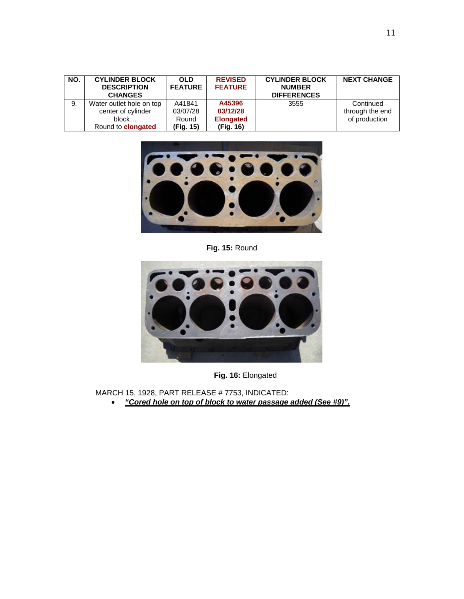| NO. | <b>CYLINDER BLOCK</b><br><b>DESCRIPTION</b><br><b>CHANGES</b> | <b>OLD</b><br><b>FEATURE</b> | <b>REVISED</b><br><b>FEATURE</b> | <b>CYLINDER BLOCK</b><br><b>NUMBER</b><br><b>DIFFERENCES</b> | <b>NEXT CHANGE</b> |
|-----|---------------------------------------------------------------|------------------------------|----------------------------------|--------------------------------------------------------------|--------------------|
| 9.  | Water outlet hole on top                                      | A41841                       | A45396                           | 3555                                                         | Continued          |
|     | center of cylinder                                            | 03/07/28                     | 03/12/28                         |                                                              | through the end    |
|     | block                                                         | Round                        | <b>Elongated</b>                 |                                                              | of production      |
|     | Round to <b>elongated</b>                                     | (Fig. 15)                    | (Fig. 16)                        |                                                              |                    |



**Fig. 15:** Round



**Fig. 16:** Elongated

MARCH 15, 1928, PART RELEASE # 7753, INDICATED:

• *"Cored hole on top of block to water passage added (See #9)".*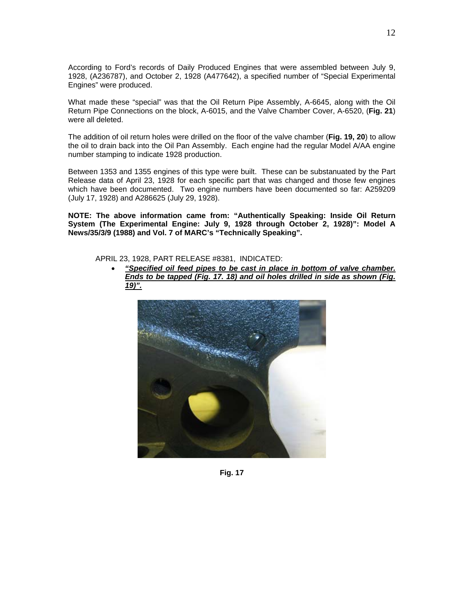According to Ford's records of Daily Produced Engines that were assembled between July 9, 1928, (A236787), and October 2, 1928 (A477642), a specified number of "Special Experimental Engines" were produced.

What made these "special" was that the Oil Return Pipe Assembly, A-6645, along with the Oil Return Pipe Connections on the block, A-6015, and the Valve Chamber Cover, A-6520, (**Fig. 21**) were all deleted.

The addition of oil return holes were drilled on the floor of the valve chamber (**Fig. 19, 20**) to allow the oil to drain back into the Oil Pan Assembly. Each engine had the regular Model A/AA engine number stamping to indicate 1928 production.

Between 1353 and 1355 engines of this type were built. These can be substanuated by the Part Release data of April 23, 1928 for each specific part that was changed and those few engines which have been documented. Two engine numbers have been documented so far: A259209 (July 17, 1928) and A286625 (July 29, 1928).

**NOTE: The above information came from: "Authentically Speaking: Inside Oil Return System (The Experimental Engine: July 9, 1928 through October 2, 1928)": Model A News/35/3/9 (1988) and Vol. 7 of MARC's "Technically Speaking".** 

APRIL 23, 1928, PART RELEASE #8381, INDICATED:

• *"Specified oil feed pipes to be cast in place in bottom of valve chamber. Ends to be tapped (Fig. 17. 18) and oil holes drilled in side as shown (Fig. 19)".*



**Fig. 17**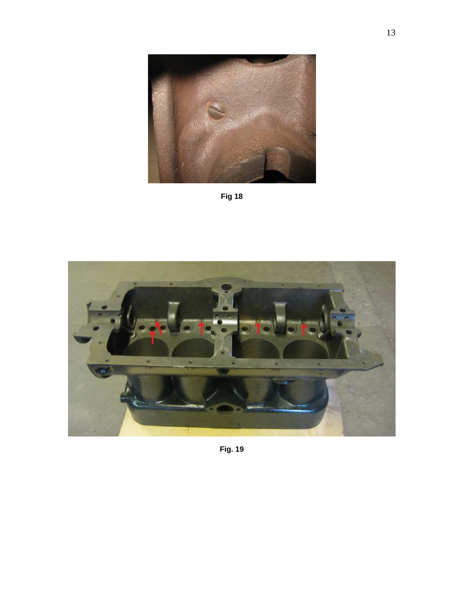





**Fig. 19**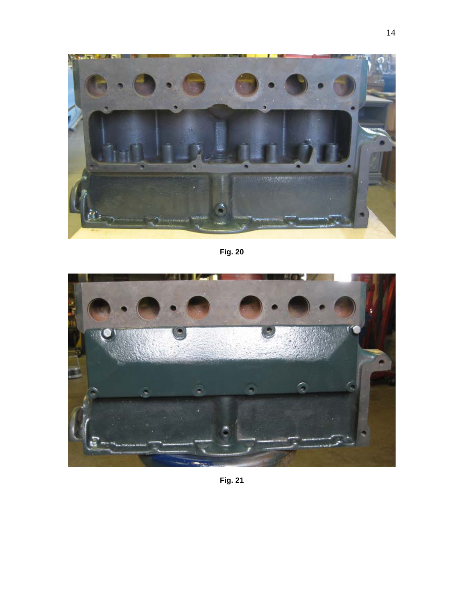

**Fig. 20** 



**Fig. 21**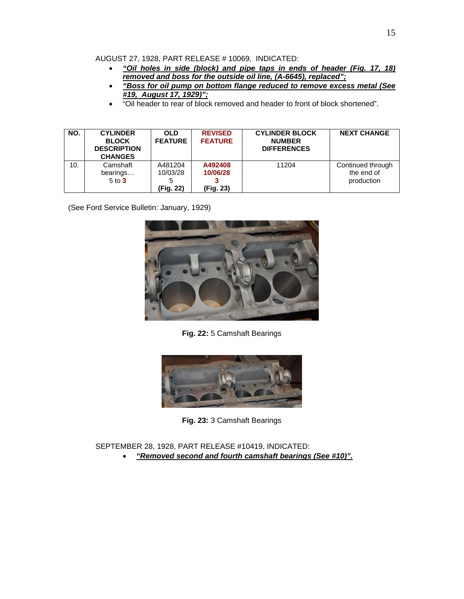AUGUST 27, 1928, PART RELEASE # 10069, INDICATED:

- *"Oil holes in side (block) and pipe taps in ends of header (Fig. 17, 18) removed and boss for the outside oil line, (A-6645), replaced";*
- *"Boss for oil pump on bottom flange reduced to remove excess metal (See #19, August 17, 1929)";*
- "Oil header to rear of block removed and header to front of block shortened".

| NO. | <b>CYLINDER</b><br><b>BLOCK</b><br><b>DESCRIPTION</b><br><b>CHANGES</b> | <b>OLD</b><br><b>FEATURE</b>     | <b>REVISED</b><br><b>FEATURE</b> | <b>CYLINDER BLOCK</b><br><b>NUMBER</b><br><b>DIFFERENCES</b> | <b>NEXT CHANGE</b>                            |
|-----|-------------------------------------------------------------------------|----------------------------------|----------------------------------|--------------------------------------------------------------|-----------------------------------------------|
| 10. | Camshaft<br>bearings<br>$5$ to $3$                                      | A481204<br>10/03/28<br>(Fig. 22) | A492408<br>10/06/28<br>(Fig. 23) | 11204                                                        | Continued through<br>the end of<br>production |

(See Ford Service Bulletin: January, 1929)



**Fig. 22:** 5 Camshaft Bearings



**Fig. 23:** 3 Camshaft Bearings

SEPTEMBER 28, 1928, PART RELEASE #10419, INDICATED: • *"Removed second and fourth camshaft bearings (See #10)".*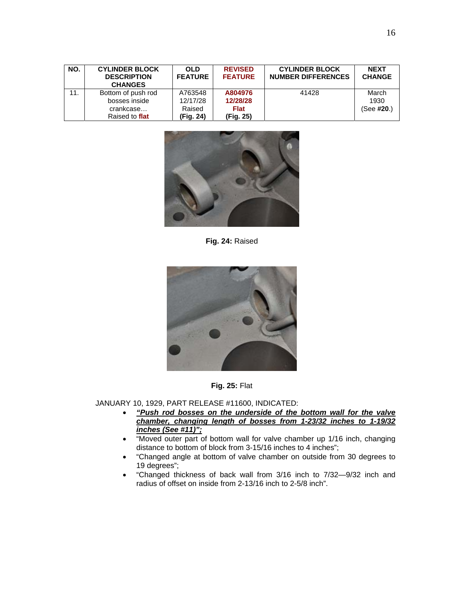| NO. | <b>CYLINDER BLOCK</b><br><b>DESCRIPTION</b><br><b>CHANGES</b> | <b>OLD</b><br><b>FEATURE</b> | <b>REVISED</b><br><b>FEATURE</b> | <b>CYLINDER BLOCK</b><br><b>NUMBER DIFFERENCES</b> | <b>NEXT</b><br><b>CHANGE</b> |
|-----|---------------------------------------------------------------|------------------------------|----------------------------------|----------------------------------------------------|------------------------------|
| 11. | Bottom of push rod                                            | A763548                      | A804976                          | 41428                                              | March                        |
|     | bosses inside                                                 | 12/17/28                     | 12/28/28                         |                                                    | 1930                         |
|     | crankcase                                                     | Raised                       | <b>Flat</b>                      |                                                    | (See #20.)                   |
|     | Raised to flat                                                | (Fig. 24)                    | (Fig. 25)                        |                                                    |                              |



**Fig. 24:** Raised





JANUARY 10, 1929, PART RELEASE #11600, INDICATED:

- *"Push rod bosses on the underside of the bottom wall for the valve chamber, changing length of bosses from 1-23/32 inches to 1-19/32 inches (See #11)";*
- "Moved outer part of bottom wall for valve chamber up 1/16 inch, changing distance to bottom of block from 3-15/16 inches to 4 inches";
- "Changed angle at bottom of valve chamber on outside from 30 degrees to 19 degrees";
- "Changed thickness of back wall from 3/16 inch to 7/32—9/32 inch and radius of offset on inside from 2-13/16 inch to 2-5/8 inch".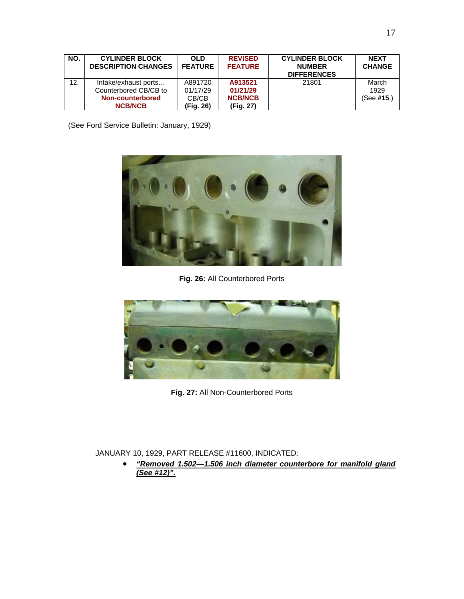| NO. | <b>CYLINDER BLOCK</b><br><b>DESCRIPTION CHANGES</b> | <b>OLD</b><br><b>FEATURE</b> | <b>REVISED</b><br><b>FEATURE</b> | <b>CYLINDER BLOCK</b><br><b>NUMBER</b><br><b>DIFFERENCES</b> | <b>NEXT</b><br><b>CHANGE</b> |
|-----|-----------------------------------------------------|------------------------------|----------------------------------|--------------------------------------------------------------|------------------------------|
| 12. | Intake/exhaust ports                                | A891720                      | A913521                          | 21801                                                        | March                        |
|     | Counterbored CB/CB to                               | 01/17/29                     | 01/21/29                         |                                                              | 1929                         |
|     | <b>Non-counterbored</b>                             | CB/CB                        | <b>NCB/NCB</b>                   |                                                              | (See #15.)                   |
|     | <b>NCB/NCB</b>                                      | (Fig. 26)                    | (Fig. 27)                        |                                                              |                              |

(See Ford Service Bulletin: January, 1929)



**Fig. 26:** All Counterbored Ports



**Fig. 27:** All Non-Counterbored Ports

#### JANUARY 10, 1929, PART RELEASE #11600, INDICATED:

• *"Removed 1.502—1.506 inch diameter counterbore for manifold gland (See #12)".*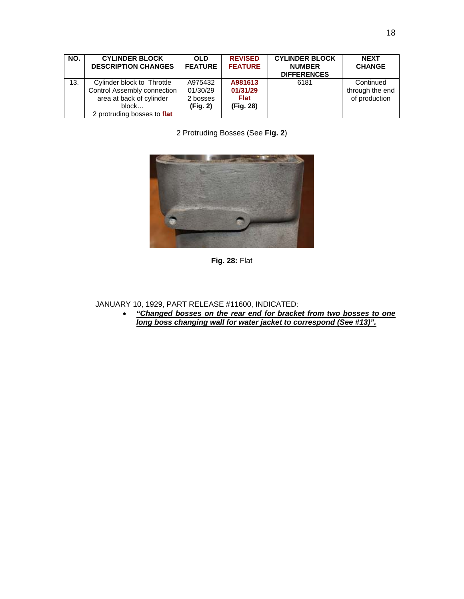| NO. | <b>CYLINDER BLOCK</b><br><b>DESCRIPTION CHANGES</b>                                                                           | <b>OLD</b><br><b>FEATURE</b>                | <b>REVISED</b><br><b>FEATURE</b>                | <b>CYLINDER BLOCK</b><br><b>NUMBER</b><br><b>DIFFERENCES</b> | <b>NEXT</b><br><b>CHANGE</b>                  |
|-----|-------------------------------------------------------------------------------------------------------------------------------|---------------------------------------------|-------------------------------------------------|--------------------------------------------------------------|-----------------------------------------------|
| 13. | Cylinder block to Throttle<br>Control Assembly connection<br>area at back of cylinder<br>block<br>2 protruding bosses to flat | A975432<br>01/30/29<br>2 bosses<br>(Fig. 2) | A981613<br>01/31/29<br><b>Flat</b><br>(Fig. 28) | 6181                                                         | Continued<br>through the end<br>of production |

2 Protruding Bosses (See **Fig. 2**)



**Fig. 28:** Flat

JANUARY 10, 1929, PART RELEASE #11600, INDICATED:

• *"Changed bosses on the rear end for bracket from two bosses to one long boss changing wall for water jacket to correspond (See #13)".*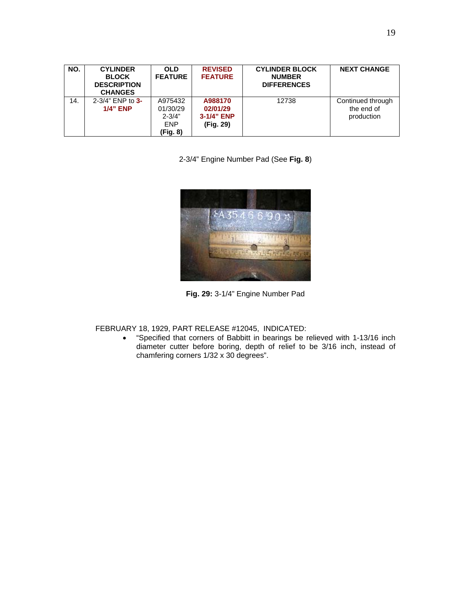| NO. | <b>CYLINDER</b><br><b>BLOCK</b><br><b>DESCRIPTION</b><br><b>CHANGES</b> | <b>OLD</b><br><b>FEATURE</b>                                | <b>REVISED</b><br><b>FEATURE</b>               | <b>CYLINDER BLOCK</b><br><b>NUMBER</b><br><b>DIFFERENCES</b> | <b>NEXT CHANGE</b>                            |
|-----|-------------------------------------------------------------------------|-------------------------------------------------------------|------------------------------------------------|--------------------------------------------------------------|-----------------------------------------------|
| 14. | $2 - 3/4$ " ENP to 3-<br>$1/4$ " ENP                                    | A975432<br>01/30/29<br>$2 - 3/4"$<br><b>ENP</b><br>(Fig. 8) | A988170<br>02/01/29<br>3-1/4" ENP<br>(Fig. 29) | 12738                                                        | Continued through<br>the end of<br>production |

2-3/4" Engine Number Pad (See **Fig. 8**)



**Fig. 29:** 3-1/4" Engine Number Pad

FEBRUARY 18, 1929, PART RELEASE #12045, INDICATED:

• "Specified that corners of Babbitt in bearings be relieved with 1-13/16 inch diameter cutter before boring, depth of relief to be 3/16 inch, instead of chamfering corners 1/32 x 30 degrees".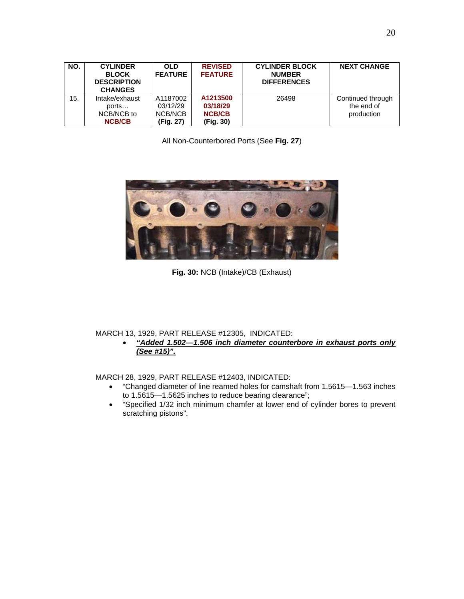|     | <b>BLOCK</b><br><b>DESCRIPTION</b><br><b>CHANGES</b>   | <b>FEATURE</b>                               | <b>FEATURE</b>                                     | <b>NUMBER</b><br><b>DIFFERENCES</b> |                                               |
|-----|--------------------------------------------------------|----------------------------------------------|----------------------------------------------------|-------------------------------------|-----------------------------------------------|
| 15. | Intake/exhaust<br>ports<br>NCB/NCB to<br><b>NCB/CB</b> | A1187002<br>03/12/29<br>NCB/NCB<br>(Fig. 27) | A1213500<br>03/18/29<br><b>NCB/CB</b><br>(Fig. 30) | 26498                               | Continued through<br>the end of<br>production |

All Non-Counterbored Ports (See **Fig. 27**)



**Fig. 30:** NCB (Intake)/CB (Exhaust)

MARCH 13, 1929, PART RELEASE #12305, INDICATED:

• *"Added 1.502—1.506 inch diameter counterbore in exhaust ports only (See #15)".*

MARCH 28, 1929, PART RELEASE #12403, INDICATED:

- "Changed diameter of line reamed holes for camshaft from 1.5615—1.563 inches to 1.5615—1.5625 inches to reduce bearing clearance";
- "Specified 1/32 inch minimum chamfer at lower end of cylinder bores to prevent scratching pistons".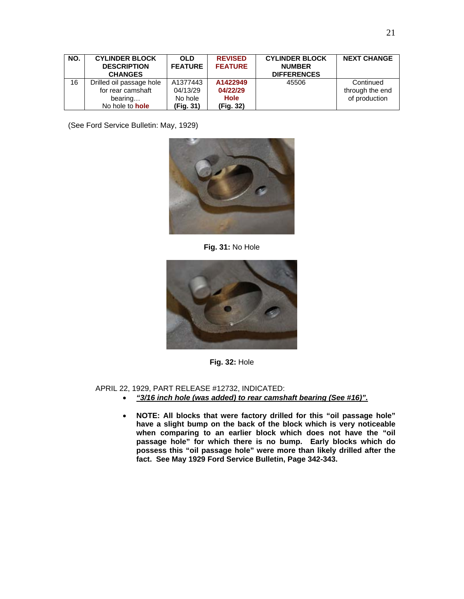| NO. | <b>CYLINDER BLOCK</b><br><b>DESCRIPTION</b><br><b>CHANGES</b>                      | <b>OLD</b><br><b>FEATURE</b>                 | <b>REVISED</b><br><b>FEATURE</b>                 | <b>CYLINDER BLOCK</b><br><b>NUMBER</b><br><b>DIFFERENCES</b> | <b>NEXT CHANGE</b>                            |
|-----|------------------------------------------------------------------------------------|----------------------------------------------|--------------------------------------------------|--------------------------------------------------------------|-----------------------------------------------|
| 16  | Drilled oil passage hole<br>for rear camshaft<br>bearing<br>No hole to <b>hole</b> | A1377443<br>04/13/29<br>No hole<br>(Fig. 31) | A1422949<br>04/22/29<br><b>Hole</b><br>(Fig. 32) | 45506                                                        | Continued<br>through the end<br>of production |

(See Ford Service Bulletin: May, 1929)



**Fig. 31:** No Hole



**Fig. 32:** Hole

APRIL 22, 1929, PART RELEASE #12732, INDICATED:

- *"3/16 inch hole (was added) to rear camshaft bearing (See #16)".*
- **NOTE: All blocks that were factory drilled for this "oil passage hole" have a slight bump on the back of the block which is very noticeable when comparing to an earlier block which does not have the "oil passage hole" for which there is no bump. Early blocks which do possess this "oil passage hole" were more than likely drilled after the fact. See May 1929 Ford Service Bulletin, Page 342-343.**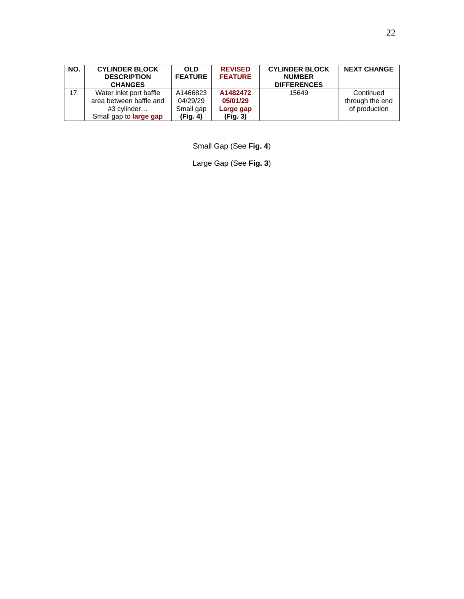| NO. | <b>CYLINDER BLOCK</b><br><b>DESCRIPTION</b><br><b>CHANGES</b>                                      | <b>OLD</b><br><b>FEATURE</b>                  | <b>REVISED</b><br><b>FEATURE</b>              | <b>CYLINDER BLOCK</b><br><b>NUMBER</b><br><b>DIFFERENCES</b> | <b>NEXT CHANGE</b>                            |
|-----|----------------------------------------------------------------------------------------------------|-----------------------------------------------|-----------------------------------------------|--------------------------------------------------------------|-----------------------------------------------|
| 17. | Water inlet port baffle<br>area between baffle and<br>#3 cylinder<br>Small gap to <b>large gap</b> | A1466823<br>04/29/29<br>Small gap<br>(Fig. 4) | A1482472<br>05/01/29<br>Large gap<br>(Fig. 3) | 15649                                                        | Continued<br>through the end<br>of production |

Small Gap (See **Fig. 4**)

Large Gap (See **Fig. 3**)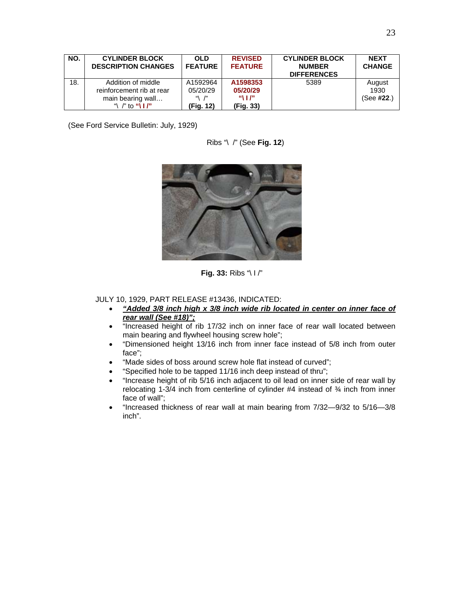| NO. | <b>CYLINDER BLOCK</b><br><b>DESCRIPTION CHANGES</b>                                                 | <b>OLD</b><br><b>FEATURE</b>                                       | <b>REVISED</b><br><b>FEATURE</b>                                           | <b>CYLINDER BLOCK</b><br><b>NUMBER</b><br><b>DIFFERENCES</b> | <b>NEXT</b><br><b>CHANGE</b> |
|-----|-----------------------------------------------------------------------------------------------------|--------------------------------------------------------------------|----------------------------------------------------------------------------|--------------------------------------------------------------|------------------------------|
| 18. | Addition of middle<br>reinforcement rib at rear<br>main bearing wall<br>"\ /" to "\ $\mathbf{I}$ /" | A1592964<br>05/20/29<br>$\mathfrak{m}$ $\mathfrak{m}$<br>(Fig. 12) | A1598353<br>05/20/29<br>$^{\prime\prime}$ 1 $^{\prime\prime}$<br>(Fig. 33) | 5389                                                         | August<br>1930<br>(See #22.) |

(See Ford Service Bulletin: July, 1929)

Ribs "\ /" (See **Fig. 12**)



**Fig. 33:** Ribs "\ I /"

JULY 10, 1929, PART RELEASE #13436, INDICATED:

- *"Added 3/8 inch high x 3/8 inch wide rib located in center on inner face of rear wall (See #18)";*
- "Increased height of rib 17/32 inch on inner face of rear wall located between main bearing and flywheel housing screw hole";
- "Dimensioned height 13/16 inch from inner face instead of 5/8 inch from outer face";
- "Made sides of boss around screw hole flat instead of curved";
- "Specified hole to be tapped 11/16 inch deep instead of thru";
- "Increase height of rib 5/16 inch adjacent to oil lead on inner side of rear wall by relocating 1-3/4 inch from centerline of cylinder #4 instead of ¾ inch from inner face of wall";
- "Increased thickness of rear wall at main bearing from 7/32—9/32 to 5/16—3/8 inch".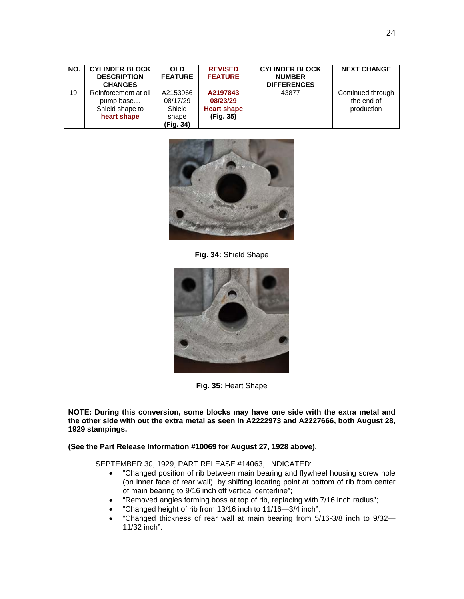| NO. | <b>CYLINDER BLOCK</b><br><b>DESCRIPTION</b><br><b>CHANGES</b>       | <b>OLD</b><br><b>FEATURE</b>                         | <b>REVISED</b><br><b>FEATURE</b>                        | <b>CYLINDER BLOCK</b><br><b>NUMBER</b><br><b>DIFFERENCES</b> | <b>NEXT CHANGE</b>                            |
|-----|---------------------------------------------------------------------|------------------------------------------------------|---------------------------------------------------------|--------------------------------------------------------------|-----------------------------------------------|
| 19. | Reinforcement at oil<br>pump base<br>Shield shape to<br>heart shape | A2153966<br>08/17/29<br>Shield<br>shape<br>(Fig. 34) | A2197843<br>08/23/29<br><b>Heart shape</b><br>(Fig. 35) | 43877                                                        | Continued through<br>the end of<br>production |



**Fig. 34:** Shield Shape



**Fig. 35:** Heart Shape

**NOTE: During this conversion, some blocks may have one side with the extra metal and the other side with out the extra metal as seen in A2222973 and A2227666, both August 28, 1929 stampings.** 

#### **(See the Part Release Information #10069 for August 27, 1928 above).**

SEPTEMBER 30, 1929, PART RELEASE #14063, INDICATED:

- "Changed position of rib between main bearing and flywheel housing screw hole (on inner face of rear wall), by shifting locating point at bottom of rib from center of main bearing to 9/16 inch off vertical centerline";
- "Removed angles forming boss at top of rib, replacing with 7/16 inch radius";
- "Changed height of rib from 13/16 inch to 11/16—3/4 inch";
- "Changed thickness of rear wall at main bearing from 5/16-3/8 inch to 9/32— 11/32 inch".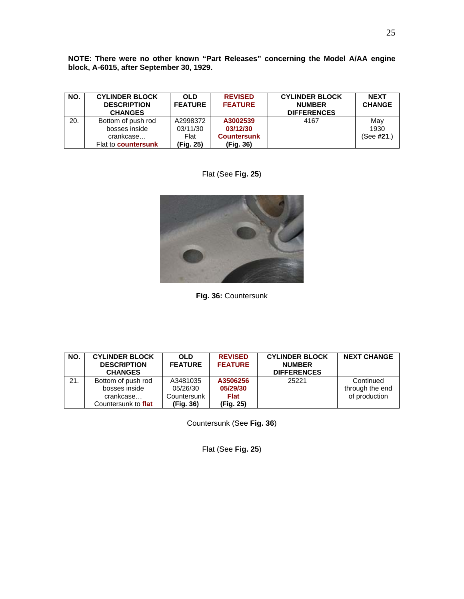**NOTE: There were no other known "Part Releases" concerning the Model A/AA engine block, A-6015, after September 30, 1929.**

| NO. | <b>CYLINDER BLOCK</b><br><b>DESCRIPTION</b><br><b>CHANGES</b> | <b>OLD</b><br><b>FEATURE</b> | <b>REVISED</b><br><b>FEATURE</b> | <b>CYLINDER BLOCK</b><br><b>NUMBER</b><br><b>DIFFERENCES</b> | <b>NEXT</b><br><b>CHANGE</b> |
|-----|---------------------------------------------------------------|------------------------------|----------------------------------|--------------------------------------------------------------|------------------------------|
| 20. | Bottom of push rod                                            | A2998372                     | A3002539                         | 4167                                                         | May                          |
|     | bosses inside                                                 | 03/11/30                     | 03/12/30                         |                                                              | 1930                         |
|     | crankcase                                                     | Flat                         | <b>Countersunk</b>               |                                                              | (See <b>#21</b> .)           |
|     | Flat to <b>countersunk</b>                                    | (Fig. 25)                    | (Fig. 36)                        |                                                              |                              |





**Fig. 36:** Countersunk

| NO. | <b>CYLINDER BLOCK</b><br><b>DESCRIPTION</b><br><b>CHANGES</b> | <b>OLD</b><br><b>FEATURE</b> | <b>REVISED</b><br><b>FEATURE</b> | <b>CYLINDER BLOCK</b><br><b>NUMBER</b><br><b>DIFFERENCES</b> | <b>NEXT CHANGE</b>           |
|-----|---------------------------------------------------------------|------------------------------|----------------------------------|--------------------------------------------------------------|------------------------------|
| 21. | Bottom of push rod<br>bosses inside                           | A3481035<br>05/26/30         | A3506256<br>05/29/30             | 25221                                                        | Continued<br>through the end |
|     | crankcase<br>Countersunk to flat                              | Countersunk<br>(Fig. 36)     | <b>Flat</b><br>(Fig. 25)         |                                                              | of production                |

Countersunk (See **Fig. 36**)

Flat (See **Fig. 25**)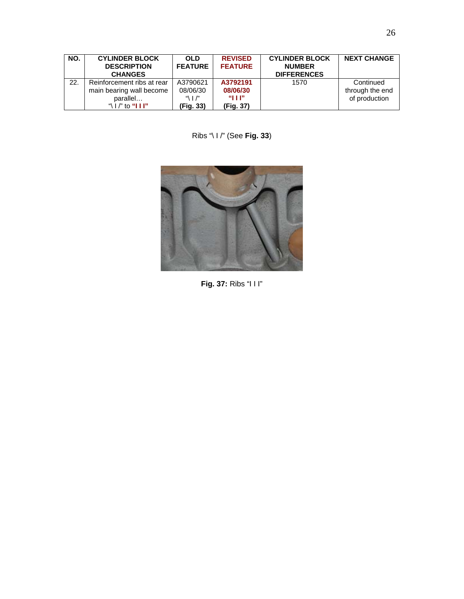| NO. | <b>CYLINDER BLOCK</b><br><b>DESCRIPTION</b><br><b>CHANGES</b> | <b>OLD</b><br><b>FEATURE</b>               | <b>REVISED</b><br><b>FEATURE</b> | <b>CYLINDER BLOCK</b><br><b>NUMBER</b><br><b>DIFFERENCES</b> | <b>NEXT CHANGE</b>           |
|-----|---------------------------------------------------------------|--------------------------------------------|----------------------------------|--------------------------------------------------------------|------------------------------|
| 22. | Reinforcement ribs at rear<br>main bearing wall become        | A3790621<br>08/06/30                       | A3792191<br>08/06/30             | 1570                                                         | Continued<br>through the end |
|     | parallel<br>"\ $\mid$ /" to " $\mid$ $\mid$ $\mid$ $\mid$ "   | $\mathcal{A}$   $\mathcal{P}$<br>(Fig. 33) | "HP<br>(Fig. 37)                 |                                                              | of production                |

Ribs "\ I /" (See **Fig. 33**)



**Fig. 37:** Ribs "I I I"